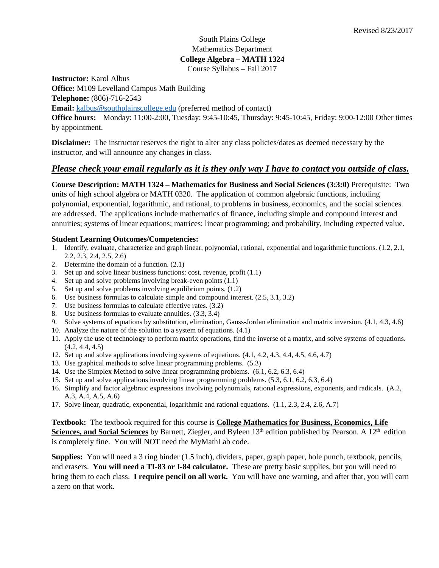# South Plains College Mathematics Department **College Algebra – MATH 1324** Course Syllabus – Fall 2017

**Instructor:** Karol Albus

**Office:** M109 Levelland Campus Math Building

**Telephone:** (806)-716-2543 **Email:** [kalbus@southplainscollege.edu](mailto:kalbus@southplainscollege.edu) (preferred method of contact)

**Office hours:** Monday: 11:00-2:00, Tuesday: 9:45-10:45, Thursday: 9:45-10:45, Friday: 9:00-12:00 Other times by appointment.

**Disclaimer:** The instructor reserves the right to alter any class policies/dates as deemed necessary by the instructor, and will announce any changes in class.

# *Please check your email regularly as it is they only way I have to contact you outside of class.*

**Course Description: MATH 1324 – Mathematics for Business and Social Sciences (3:3:0)** Prerequisite: Two units of high school algebra or MATH 0320. The application of common algebraic functions, including polynomial, exponential, logarithmic, and rational, to problems in business, economics, and the social sciences are addressed. The applications include mathematics of finance, including simple and compound interest and annuities; systems of linear equations; matrices; linear programming; and probability, including expected value.

## **Student Learning Outcomes/Competencies:**

- 1. Identify, evaluate, characterize and graph linear, polynomial, rational, exponential and logarithmic functions. (1.2, 2.1, 2.2, 2.3, 2.4, 2.5, 2.6)
- 2. Determine the domain of a function. (2.1)
- 3. Set up and solve linear business functions: cost, revenue, profit (1.1)
- 4. Set up and solve problems involving break-even points (1.1)
- 5. Set up and solve problems involving equilibrium points. (1.2)
- 6. Use business formulas to calculate simple and compound interest. (2.5, 3.1, 3.2)
- 7. Use business formulas to calculate effective rates. (3.2)
- 8. Use business formulas to evaluate annuities. (3.3, 3.4)
- 9. Solve systems of equations by substitution, elimination, Gauss-Jordan elimination and matrix inversion. (4.1, 4.3, 4.6)
- 10. Analyze the nature of the solution to a system of equations. (4.1)
- 11. Apply the use of technology to perform matrix operations, find the inverse of a matrix, and solve systems of equations. (4.2, 4.4, 4.5)
- 12. Set up and solve applications involving systems of equations. (4.1, 4.2, 4.3, 4.4, 4.5, 4.6, 4.7)
- 13. Use graphical methods to solve linear programming problems. (5.3)
- 14. Use the Simplex Method to solve linear programming problems. (6.1, 6.2, 6.3, 6.4)
- 15. Set up and solve applications involving linear programming problems. (5.3, 6.1, 6.2, 6.3, 6.4)
- 16. Simplify and factor algebraic expressions involving polynomials, rational expressions, exponents, and radicals. (A.2, A.3, A.4, A.5, A.6)
- 17. Solve linear, quadratic, exponential, logarithmic and rational equations. (1.1, 2.3, 2.4, 2.6, A.7)

**Textbook:** The textbook required for this course is **College Mathematics for Business, Economics, Life Sciences, and Social Sciences** by Barnett, Ziegler, and Byleen 13<sup>th</sup> edition published by Pearson. A 12<sup>th</sup> edition is completely fine. You will NOT need the MyMathLab code.

**Supplies:** You will need a 3 ring binder (1.5 inch), dividers, paper, graph paper, hole punch, textbook, pencils, and erasers. **You will need a TI-83 or I-84 calculator.** These are pretty basic supplies, but you will need to bring them to each class. **I require pencil on all work.** You will have one warning, and after that, you will earn a zero on that work.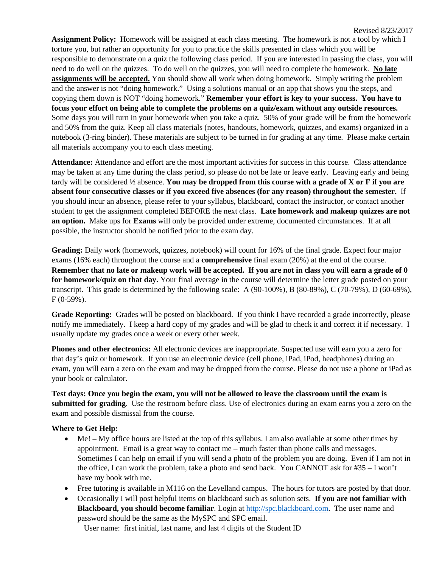**Assignment Policy:** Homework will be assigned at each class meeting. The homework is not a tool by which I torture you, but rather an opportunity for you to practice the skills presented in class which you will be responsible to demonstrate on a quiz the following class period. If you are interested in passing the class, you will need to do well on the quizzes. To do well on the quizzes, you will need to complete the homework. **No late assignments will be accepted.** You should show all work when doing homework. Simply writing the problem and the answer is not "doing homework." Using a solutions manual or an app that shows you the steps, and copying them down is NOT "doing homework." **Remember your effort is key to your success. You have to focus your effort on being able to complete the problems on a quiz/exam without any outside resources.**  Some days you will turn in your homework when you take a quiz. 50% of your grade will be from the homework and 50% from the quiz. Keep all class materials (notes, handouts, homework, quizzes, and exams) organized in a notebook (3-ring binder). These materials are subject to be turned in for grading at any time. Please make certain all materials accompany you to each class meeting.

**Attendance:** Attendance and effort are the most important activities for success in this course. Class attendance may be taken at any time during the class period, so please do not be late or leave early. Leaving early and being tardy will be considered ½ absence. **You may be dropped from this course with a grade of X or F if you are absent four consecutive classes or if you exceed five absences (for any reason) throughout the semester.** If you should incur an absence, please refer to your syllabus, blackboard, contact the instructor, or contact another student to get the assignment completed BEFORE the next class. **Late homework and makeup quizzes are not an option.** Make ups for **Exams** will only be provided under extreme, documented circumstances. If at all possible, the instructor should be notified prior to the exam day.

**Grading:** Daily work (homework, quizzes, notebook) will count for 16% of the final grade. Expect four major exams (16% each) throughout the course and a **comprehensive** final exam (20%) at the end of the course. **Remember that no late or makeup work will be accepted. If you are not in class you will earn a grade of 0 for homework/quiz on that day.** Your final average in the course will determine the letter grade posted on your transcript. This grade is determined by the following scale: A (90-100%), B (80-89%), C (70-79%), D (60-69%), F (0-59%).

**Grade Reporting:** Grades will be posted on blackboard. If you think I have recorded a grade incorrectly, please notify me immediately. I keep a hard copy of my grades and will be glad to check it and correct it if necessary. I usually update my grades once a week or every other week.

**Phones and other electronics:** All electronic devices are inappropriate. Suspected use will earn you a zero for that day's quiz or homework. If you use an electronic device (cell phone, iPad, iPod, headphones) during an exam, you will earn a zero on the exam and may be dropped from the course. Please do not use a phone or iPad as your book or calculator.

**Test days: Once you begin the exam, you will not be allowed to leave the classroom until the exam is submitted for grading**. Use the restroom before class. Use of electronics during an exam earns you a zero on the exam and possible dismissal from the course.

#### **Where to Get Help:**

- Me! My office hours are listed at the top of this syllabus. I am also available at some other times by appointment. Email is a great way to contact me – much faster than phone calls and messages. Sometimes I can help on email if you will send a photo of the problem you are doing. Even if I am not in the office, I can work the problem, take a photo and send back. You CANNOT ask for #35 – I won't have my book with me.
- Free tutoring is available in M116 on the Levelland campus. The hours for tutors are posted by that door.
- Occasionally I will post helpful items on blackboard such as solution sets. **If you are not familiar with Blackboard, you should become familiar**. Login a[t http://spc.blackboard.com.](http://spc.blackboard.com/) The user name and password should be the same as the MySPC and SPC email.

User name: first initial, last name, and last 4 digits of the Student ID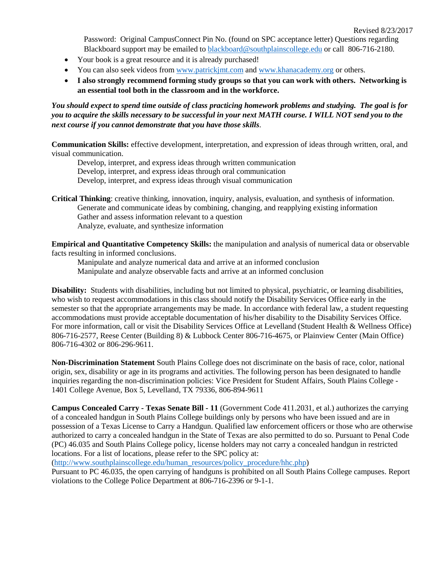Revised 8/23/2017

Password: Original CampusConnect Pin No. (found on SPC acceptance letter) Questions regarding Blackboard support may be emailed to [blackboard@southplainscollege.edu](mailto:blackboard@southplainscollege.edu) or call 806-716-2180.

- Your book is a great resource and it is already purchased!
- You can also seek videos from [www.patrickjmt.com](http://www.patrickjmt.com/) and [www.khanacademy.org](http://www.khanacademy.org/) or others.
- **I also strongly recommend forming study groups so that you can work with others. Networking is an essential tool both in the classroom and in the workforce.**

*You should expect to spend time outside of class practicing homework problems and studying. The goal is for you to acquire the skills necessary to be successful in your next MATH course. I WILL NOT send you to the next course if you cannot demonstrate that you have those skills*.

**Communication Skills:** effective development, interpretation, and expression of ideas through written, oral, and visual communication.

Develop, interpret, and express ideas through written communication Develop, interpret, and express ideas through oral communication Develop, interpret, and express ideas through visual communication

**Critical Thinking**: creative thinking, innovation, inquiry, analysis, evaluation, and synthesis of information. Generate and communicate ideas by combining, changing, and reapplying existing information Gather and assess information relevant to a question Analyze, evaluate, and synthesize information

**Empirical and Quantitative Competency Skills:** the manipulation and analysis of numerical data or observable facts resulting in informed conclusions.

Manipulate and analyze numerical data and arrive at an informed conclusion Manipulate and analyze observable facts and arrive at an informed conclusion

**Disability:** Students with disabilities, including but not limited to physical, psychiatric, or learning disabilities, who wish to request accommodations in this class should notify the Disability Services Office early in the semester so that the appropriate arrangements may be made. In accordance with federal law, a student requesting accommodations must provide acceptable documentation of his/her disability to the Disability Services Office. For more information, call or visit the Disability Services Office at Levelland (Student Health & Wellness Office) 806-716-2577, Reese Center (Building 8) & Lubbock Center 806-716-4675, or Plainview Center (Main Office) 806-716-4302 or 806-296-9611.

**Non-Discrimination Statement** South Plains College does not discriminate on the basis of race, color, national origin, sex, disability or age in its programs and activities. The following person has been designated to handle inquiries regarding the non-discrimination policies: Vice President for Student Affairs, South Plains College - 1401 College Avenue, Box 5, Levelland, TX 79336, 806-894-9611

**Campus Concealed Carry - Texas Senate Bill - 11** (Government Code 411.2031, et al.) authorizes the carrying of a concealed handgun in South Plains College buildings only by persons who have been issued and are in possession of a Texas License to Carry a Handgun. Qualified law enforcement officers or those who are otherwise authorized to carry a concealed handgun in the State of Texas are also permitted to do so. Pursuant to Penal Code (PC) 46.035 and South Plains College policy, license holders may not carry a concealed handgun in restricted locations. For a list of locations, please refer to the SPC policy at:

[\(http://www.southplainscollege.edu/human\\_resources/policy\\_procedure/hhc.php\)](http://www.southplainscollege.edu/human_resources/policy_procedure/hhc.php)

Pursuant to PC 46.035, the open carrying of handguns is prohibited on all South Plains College campuses. Report violations to the College Police Department at 806-716-2396 or 9-1-1.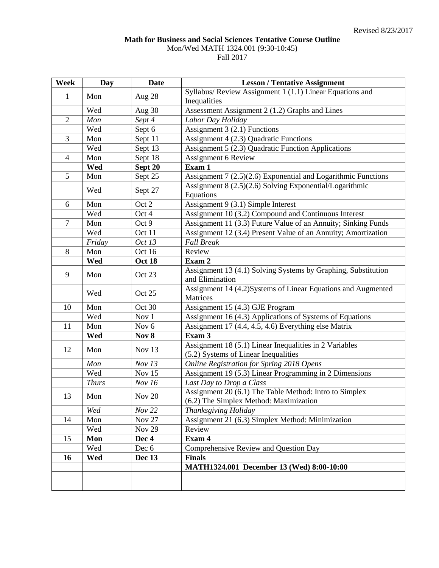## **Math for Business and Social Sciences Tentative Course Outline** Mon/Wed MATH 1324.001 (9:30-10:45) Fall 2017

| Week           | Day          | <b>Date</b>   | <b>Lesson / Tentative Assignment</b>                                                             |
|----------------|--------------|---------------|--------------------------------------------------------------------------------------------------|
| $\mathbf{1}$   | Mon          | Aug 28        | Syllabus/ Review Assignment 1 (1.1) Linear Equations and                                         |
|                |              |               | Inequalities                                                                                     |
|                | Wed          | Aug $30$      | Assessment Assignment 2 (1.2) Graphs and Lines                                                   |
| $\overline{2}$ | Mon          | Sept 4        | Labor Day Holiday                                                                                |
|                | Wed          | Sept 6        | Assignment $3(2.1)$ Functions                                                                    |
| 3              | Mon          | Sept 11       | Assignment 4 (2.3) Quadratic Functions                                                           |
|                | Wed          | Sept 13       | Assignment 5 (2.3) Quadratic Function Applications                                               |
| $\overline{4}$ | Mon          | Sept 18       | <b>Assignment 6 Review</b>                                                                       |
|                | Wed          | Sept 20       | Exam 1                                                                                           |
| 5              | Mon          | Sept 25       | Assignment 7 (2.5)(2.6) Exponential and Logarithmic Functions                                    |
|                | Wed          | Sept 27       | Assignment 8 (2.5)(2.6) Solving Exponential/Logarithmic<br>Equations                             |
| 6              | Mon          | Oct 2         | Assignment 9 (3.1) Simple Interest                                                               |
|                | Wed          | Oct 4         | Assignment 10 (3.2) Compound and Continuous Interest                                             |
| $\overline{7}$ | Mon          | Oct 9         | Assignment 11 (3.3) Future Value of an Annuity; Sinking Funds                                    |
|                | Wed          | Oct 11        | Assignment 12 (3.4) Present Value of an Annuity; Amortization                                    |
|                | Friday       | Oct 13        | <b>Fall Break</b>                                                                                |
| 8              | Mon          | Oct 16        | Review                                                                                           |
|                | Wed          | Oct 18        | Exam 2                                                                                           |
| 9              | Mon          | Oct 23        | Assignment 13 (4.1) Solving Systems by Graphing, Substitution<br>and Elimination                 |
|                | Wed          | Oct 25        | Assignment 14 (4.2)Systems of Linear Equations and Augmented<br>Matrices                         |
| 10             | Mon          | Oct 30        | Assignment 15 (4.3) GJE Program                                                                  |
|                | Wed          | Nov 1         | Assignment 16 (4.3) Applications of Systems of Equations                                         |
| 11             | Mon          | Nov 6         | Assignment 17 (4.4, 4.5, 4.6) Everything else Matrix                                             |
|                | Wed          | Nov 8         | Exam 3                                                                                           |
| 12             | Mon          | Nov 13        | Assignment 18 (5.1) Linear Inequalities in 2 Variables<br>(5.2) Systems of Linear Inequalities   |
|                | Mon          | Nov 13        | Online Registration for Spring 2018 Opens                                                        |
|                | Wed          | <b>Nov 15</b> | Assignment 19 (5.3) Linear Programming in 2 Dimensions                                           |
|                | <b>Thurs</b> | Nov 16        | Last Day to Drop a Class                                                                         |
| 13             | Mon          | Nov $20$      | Assignment 20 (6.1) The Table Method: Intro to Simplex<br>(6.2) The Simplex Method: Maximization |
|                | Wed          | Nov 22        | Thanksgiving Holiday                                                                             |
| 14             | Mon          | Nov $27$      | Assignment 21 (6.3) Simplex Method: Minimization                                                 |
|                | Wed          | <b>Nov 29</b> | Review                                                                                           |
| 15             | Mon          | Dec 4         | Exam 4                                                                                           |
|                | Wed          | Dec 6         | Comprehensive Review and Question Day                                                            |
| 16             | Wed          | Dec 13        | <b>Finals</b>                                                                                    |
|                |              |               | MATH1324.001 December 13 (Wed) 8:00-10:00                                                        |
|                |              |               |                                                                                                  |
|                |              |               |                                                                                                  |